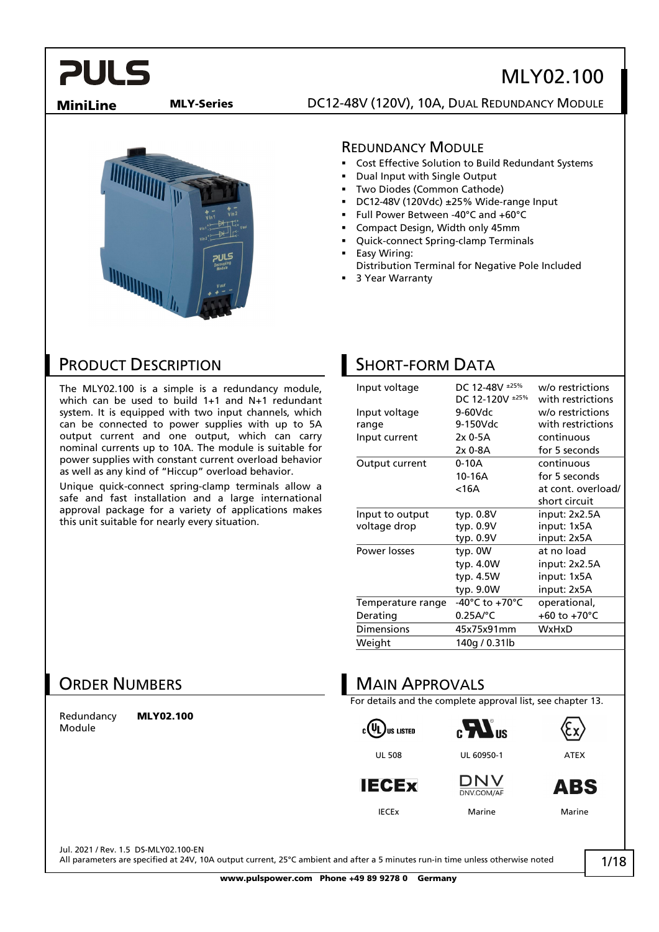# MLY02.100

**MiniLine MLY-Series DC12-48V (120V), 10A, DUAL REDUNDANCY MODULE** 



#### REDUNDANCY MODULE

- Cost Effective Solution to Build Redundant Systems
- Dual Input with Single Output
- Two Diodes (Common Cathode)
- DC12-48V (120Vdc) ±25% Wide-range Input
- Full Power Between -40°C and +60°C
- Compact Design, Width only 45mm
- Quick-connect Spring-clamp Terminals
- Easy Wiring: Distribution Terminal for Negative Pole Included
- 3 Year Warranty

### PRODUCT DESCRIPTION

The MLY02.100 is a simple is a redundancy module, which can be used to build 1+1 and N+1 redundant system. It is equipped with two input channels, which can be connected to power supplies with up to 5A output current and one output, which can carry nominal currents up to 10A. The module is suitable for power supplies with constant current overload behavior as well as any kind of "Hiccup" overload behavior.

Unique quick-connect spring-clamp terminals allow a safe and fast installation and a large international approval package for a variety of applications makes this unit suitable for nearly every situation.

## SHORT-FORM DATA

| Input voltage     | DC 12-48V ±25%<br>DC 12-120V ±25% | w/o restrictions<br>with restrictions |
|-------------------|-----------------------------------|---------------------------------------|
| Input voltage     | 9-60Vdc                           | w/o restrictions                      |
| range             | 9-150Vdc                          | with restrictions                     |
| Input current     | 2x 0-5A                           | continuous                            |
|                   | 2x 0-8A                           | for 5 seconds                         |
| Output current    | 0-10A                             | continuous                            |
|                   | 10-16A                            | for 5 seconds                         |
|                   | <16A                              | at cont. overload/                    |
|                   |                                   | short circuit                         |
| Input to output   | typ. 0.8V                         | input: 2x2.5A                         |
| voltage drop      | typ. 0.9V                         | input: 1x5A                           |
|                   | typ. 0.9V                         | input: 2x5A                           |
| Power losses      | typ. OW                           | at no load                            |
|                   | typ. 4.0W                         | input: 2x2.5A                         |
|                   | typ. 4.5W                         | input: 1x5A                           |
|                   | typ. 9.0W                         | input: 2x5A                           |
| Temperature range | -40°C to +70°C                    | operational,                          |
| Derating          | $0.25A$ /°C                       | +60 to +70 $^{\circ}$ C               |
| <b>Dimensions</b> | 45x75x91mm                        | WxHxD                                 |
| Weight            | 140g / 0.31lb                     |                                       |

### ORDER NUMBERS

Redundancy Module

MLY02.100



For details and the complete approval list, see chapter 13.

 $c(U_L)$ us Listed







**DNV** DNV.COM/AF



**ABS** 

IECEx Marine Marine

Jul. 2021 / Rev. 1.5 DS-MLY02.100-EN

All parameters are specified at 24V, 10A output current, 25°C ambient and after a 5 minutes run-in time unless otherwise noted

1/18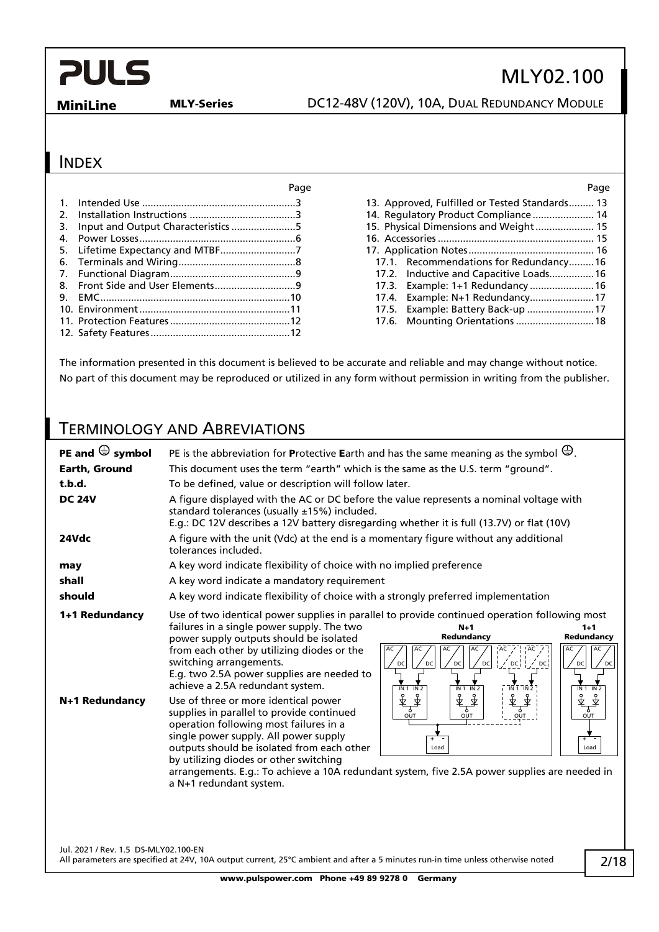# MLY02.100

**MiniLine MLY-Series** DC12-48V (120V), 10A, DUAL REDUNDANCY MODULE

#### INDEX

| 2. |  |
|----|--|
| 3. |  |
| 4. |  |
|    |  |
| 6. |  |
|    |  |
|    |  |
| 9. |  |
|    |  |
|    |  |
|    |  |

#### Page Page

| 13. Approved, Fulfilled or Tested Standards 13 |  |
|------------------------------------------------|--|
| 14. Requlatory Product Compliance  14          |  |
| 15. Physical Dimensions and Weight 15          |  |
|                                                |  |
|                                                |  |
| 17.1. Recommendations for Redundancy16         |  |
| 17.2. Inductive and Capacitive Loads 16        |  |
| 17.3. Example: 1+1 Redundancy  16              |  |
| 17.4. Example: N+1 Redundancy 17               |  |
| 17.5. Example: Battery Back-up  17             |  |
| 17.6. Mounting Orientations  18                |  |
|                                                |  |

The information presented in this document is believed to be accurate and reliable and may change without notice. No part of this document may be reproduced or utilized in any form without permission in writing from the publisher.

### TERMINOLOGY AND ABREVIATIONS

| PE and $\bigoplus$ symbol            | PE is the abbreviation for Protective Earth and has the same meaning as the symbol $\bigoplus$ .                                                                                                                                                                                                                                                                                                                                                                                                                                                                                                                                                                                                                                                                                                                                                                                                     |  |  |
|--------------------------------------|------------------------------------------------------------------------------------------------------------------------------------------------------------------------------------------------------------------------------------------------------------------------------------------------------------------------------------------------------------------------------------------------------------------------------------------------------------------------------------------------------------------------------------------------------------------------------------------------------------------------------------------------------------------------------------------------------------------------------------------------------------------------------------------------------------------------------------------------------------------------------------------------------|--|--|
| Earth, Ground                        | This document uses the term "earth" which is the same as the U.S. term "ground".                                                                                                                                                                                                                                                                                                                                                                                                                                                                                                                                                                                                                                                                                                                                                                                                                     |  |  |
| t.b.d.                               | To be defined, value or description will follow later.                                                                                                                                                                                                                                                                                                                                                                                                                                                                                                                                                                                                                                                                                                                                                                                                                                               |  |  |
| <b>DC 24V</b>                        | A figure displayed with the AC or DC before the value represents a nominal voltage with<br>standard tolerances (usually ±15%) included.<br>E.g.: DC 12V describes a 12V battery disregarding whether it is full (13.7V) or flat (10V)                                                                                                                                                                                                                                                                                                                                                                                                                                                                                                                                                                                                                                                                |  |  |
| 24Vdc                                | A figure with the unit (Vdc) at the end is a momentary figure without any additional<br>tolerances included.                                                                                                                                                                                                                                                                                                                                                                                                                                                                                                                                                                                                                                                                                                                                                                                         |  |  |
| may                                  | A key word indicate flexibility of choice with no implied preference                                                                                                                                                                                                                                                                                                                                                                                                                                                                                                                                                                                                                                                                                                                                                                                                                                 |  |  |
| shall                                | A key word indicate a mandatory requirement                                                                                                                                                                                                                                                                                                                                                                                                                                                                                                                                                                                                                                                                                                                                                                                                                                                          |  |  |
| should                               | A key word indicate flexibility of choice with a strongly preferred implementation                                                                                                                                                                                                                                                                                                                                                                                                                                                                                                                                                                                                                                                                                                                                                                                                                   |  |  |
| 1+1 Redundancy                       | Use of two identical power supplies in parallel to provide continued operation following most<br>failures in a single power supply. The two<br>$N+1$<br>$1+1$<br>Redundancy<br>Redundancy<br>power supply outputs should be isolated<br>from each other by utilizing diodes or the<br>AC<br>AC<br>AC<br>AC<br>AC<br>switching arrangements.<br>$\sqrt{C}$<br>$\angle$ DC<br>DC<br>DC<br>DC<br>DC<br>DC<br>DC<br>E.g. two 2.5A power supplies are needed to<br>achieve a 2.5A redundant system.<br>$\overline{1}N\overline{1}$ $\overline{1}N\overline{2}$<br>IN 1 IN 2<br>$\overline{IN}$ 1 $\overline{IN}$ 2<br>IN 1 IN 2                                                                                                                                                                                                                                                                           |  |  |
| N+1 Redundancy                       | ङ्कै<br>李<br>予<br>करूँ<br>$\frac{1}{\sqrt[3]{\frac{1}{\sqrt[3]{\frac{1}{\sqrt[3]{\frac{1}{\sqrt[3]{\frac{1}{\sqrt[3]{\frac{1}{\sqrt[3]{\frac{1}{\sqrt[3]{\frac{1}{\sqrt[3]{\frac{1}{\sqrt[3]{\frac{1}{\sqrt[3]{\frac{1}{\sqrt[3]{\frac{1}{\sqrt[3]{\frac{1}{\sqrt[3]{\frac{1}{\sqrt[3]{\frac{1}{\sqrt[3]{\frac{1}{\sqrt[3]{\frac{1}{\sqrt[3]{\frac{1}{\sqrt[3]{\frac{1}{\sqrt[3]{\frac{1}{\sqrt[3]{\frac{1}{\sqrt[3]{\frac{1}{\sqrt[3]{$<br>Use of three or more identical power<br>supplies in parallel to provide continued<br>OUT<br>OUT<br>OUT<br>OUT<br>operation following most failures in a<br>single power supply. All power supply<br>$\ddot{}$<br>$+$<br>outputs should be isolated from each other<br>Load<br>Load<br>by utilizing diodes or other switching<br>arrangements. E.g.: To achieve a 10A redundant system, five 2.5A power supplies are needed in<br>a N+1 redundant system. |  |  |
| Jul. 2021 / Rev. 1.5 DS-MLY02.100-EN |                                                                                                                                                                                                                                                                                                                                                                                                                                                                                                                                                                                                                                                                                                                                                                                                                                                                                                      |  |  |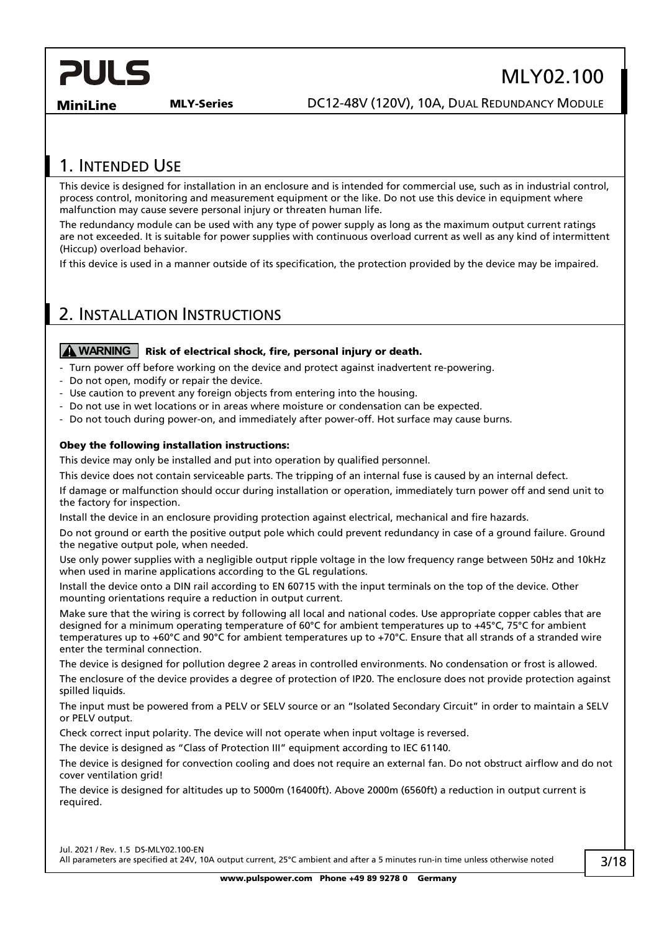# MLY02.100

**MiniLine MLY-Series DC12-48V (120V), 10A, DUAL REDUNDANCY MODULE** 

### <span id="page-2-0"></span>1. INTENDED USE

This device is designed for installation in an enclosure and is intended for commercial use, such as in industrial control, process control, monitoring and measurement equipment or the like. Do not use this device in equipment where malfunction may cause severe personal injury or threaten human life.

The redundancy module can be used with any type of power supply as long as the maximum output current ratings are not exceeded. It is suitable for power supplies with continuous overload current as well as any kind of intermittent (Hiccup) overload behavior.

If this device is used in a manner outside of its specification, the protection provided by the device may be impaired.

## <span id="page-2-1"></span>2. INSTALLATION INSTRUCTIONS

#### **A WARNING** | Risk of electrical shock, fire, personal injury or death.

- Turn power off before working on the device and protect against inadvertent re-powering.
- Do not open, modify or repair the device.
- Use caution to prevent any foreign objects from entering into the housing.
- Do not use in wet locations or in areas where moisture or condensation can be expected.
- Do not touch during power-on, and immediately after power-off. Hot surface may cause burns.

#### Obey the following installation instructions:

This device may only be installed and put into operation by qualified personnel.

This device does not contain serviceable parts. The tripping of an internal fuse is caused by an internal defect.

If damage or malfunction should occur during installation or operation, immediately turn power off and send unit to the factory for inspection.

Install the device in an enclosure providing protection against electrical, mechanical and fire hazards.

Do not ground or earth the positive output pole which could prevent redundancy in case of a ground failure. Ground the negative output pole, when needed.

Use only power supplies with a negligible output ripple voltage in the low frequency range between 50Hz and 10kHz when used in marine applications according to the GL regulations.

Install the device onto a DIN rail according to EN 60715 with the input terminals on the top of the device. Other mounting orientations require a reduction in output current.

Make sure that the wiring is correct by following all local and national codes. Use appropriate copper cables that are designed for a minimum operating temperature of 60°C for ambient temperatures up to +45°C, 75°C for ambient temperatures up to +60°C and 90°C for ambient temperatures up to +70°C. Ensure that all strands of a stranded wire enter the terminal connection.

The device is designed for pollution degree 2 areas in controlled environments. No condensation or frost is allowed.

The enclosure of the device provides a degree of protection of IP20. The enclosure does not provide protection against spilled liquids.

The input must be powered from a PELV or SELV source or an "Isolated Secondary Circuit" in order to maintain a SELV or PELV output.

Check correct input polarity. The device will not operate when input voltage is reversed.

The device is designed as "Class of Protection III" equipment according to IEC 61140.

The device is designed for convection cooling and does not require an external fan. Do not obstruct airflow and do not cover ventilation grid!

The device is designed for altitudes up to 5000m (16400ft). Above 2000m (6560ft) a reduction in output current is required.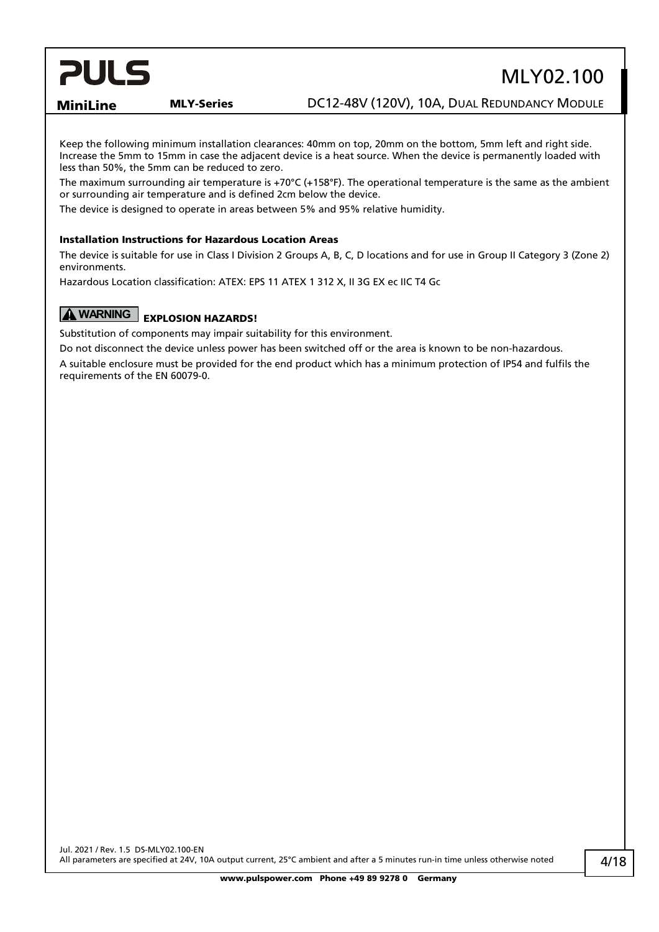# MLY02.100

**MiniLine MLY-Series DC12-48V (120V), 10A, DUAL REDUNDANCY MODULE** 

Keep the following minimum installation clearances: 40mm on top, 20mm on the bottom, 5mm left and right side. Increase the 5mm to 15mm in case the adjacent device is a heat source. When the device is permanently loaded with less than 50%, the 5mm can be reduced to zero.

The maximum surrounding air temperature is +70 $^{\circ}$ C (+158 $^{\circ}$ F). The operational temperature is the same as the ambient or surrounding air temperature and is defined 2cm below the device.

The device is designed to operate in areas between 5% and 95% relative humidity.

#### Installation Instructions for Hazardous Location Areas

The device is suitable for use in Class I Division 2 Groups A, B, C, D locations and for use in Group II Category 3 (Zone 2) environments.

Hazardous Location classification: ATEX: EPS 11 ATEX 1 312 X, II 3G EX ec IIC T4 Gc

### **A WARNING** EXPLOSION HAZARDS!

Substitution of components may impair suitability for this environment.

Do not disconnect the device unless power has been switched off or the area is known to be non-hazardous.

A suitable enclosure must be provided for the end product which has a minimum protection of IP54 and fulfils the requirements of the EN 60079-0.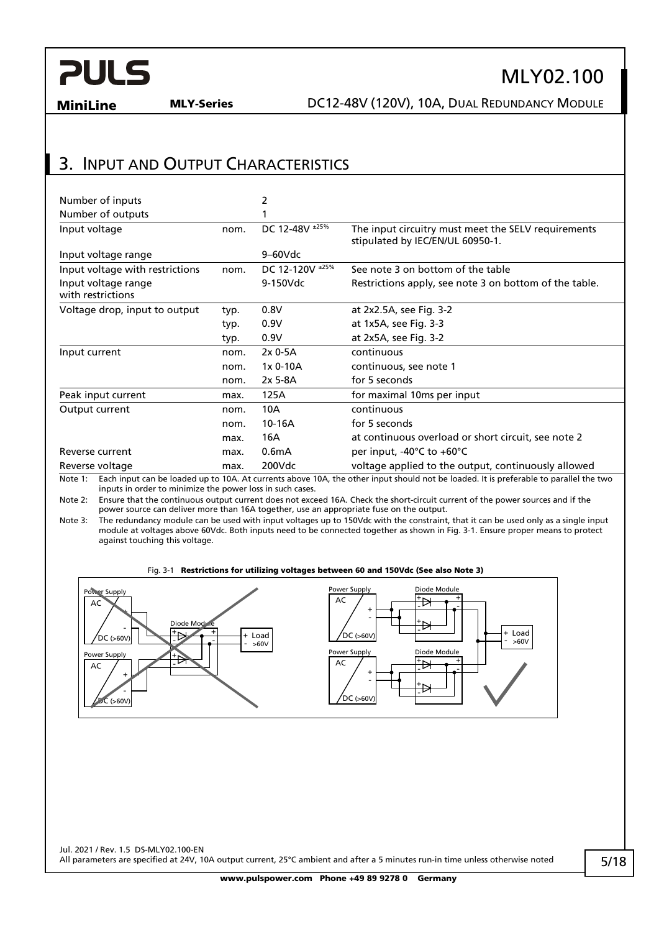# MLY02.100

**MiniLine MLY-Series DC12-48V (120V), 10A, DUAL REDUNDANCY MODULE** 

### <span id="page-4-0"></span>3. INPUT AND OUTPUT CHARACTERISTICS

| Number of inputs                         |      | 2                  |                                                                                         |
|------------------------------------------|------|--------------------|-----------------------------------------------------------------------------------------|
| Number of outputs                        |      |                    |                                                                                         |
| Input voltage                            | nom. | DC 12-48V ±25%     | The input circuitry must meet the SELV requirements<br>stipulated by IEC/EN/UL 60950-1. |
| Input voltage range                      |      | $9-60$ Vdc         |                                                                                         |
| Input voltage with restrictions          | nom. | DC 12-120V ±25%    | See note 3 on bottom of the table                                                       |
| Input voltage range<br>with restrictions |      | 9-150Vdc           | Restrictions apply, see note 3 on bottom of the table.                                  |
| Voltage drop, input to output            | typ. | 0.8V               | at 2x2.5A, see Fig. 3-2                                                                 |
|                                          | typ. | 0.9V               | at 1x5A, see Fig. 3-3                                                                   |
|                                          | typ. | 0.9V               | at 2x5A, see Fig. 3-2                                                                   |
| Input current                            | nom. | $2x0-5A$           | continuous                                                                              |
|                                          | nom. | 1x 0-10A           | continuous, see note 1                                                                  |
|                                          | nom. | $2x$ 5-8A          | for 5 seconds                                                                           |
| Peak input current                       | max. | 125A               | for maximal 10ms per input                                                              |
| Output current                           | nom. | 10A                | continuous                                                                              |
|                                          | nom. | 10-16A             | for 5 seconds                                                                           |
|                                          | max. | 16A                | at continuous overload or short circuit, see note 2                                     |
| Reverse current                          | max. | 0.6 <sub>m</sub> A | per input, $-40^{\circ}$ C to $+60^{\circ}$ C                                           |
| Reverse voltage                          | max. | 200Vdc             | voltage applied to the output, continuously allowed                                     |

Note 1: Each input can be loaded up to 10A. At currents above 10A, the other input should not be loaded. It is preferable to parallel the two inputs in order to minimize the power loss in such cases.

Note 2: Ensure that the continuous output current does not exceed 16A. Check the short-circuit current of the power sources and if the power source can deliver more than 16A together, use an appropriate fuse on the output.

Note 3: The redundancy module can be used with input voltages up to 150Vdc with the constraint, that it can be used only as a single input module at voltages above 60Vdc. Both inputs need to be connected together as shown in [Fig. 3-1.](#page-4-1) Ensure proper means to protect against touching this voltage.

#### Fig. 3-1 Restrictions for utilizing voltages between 60 and 150Vdc (See also Note 3)

<span id="page-4-1"></span>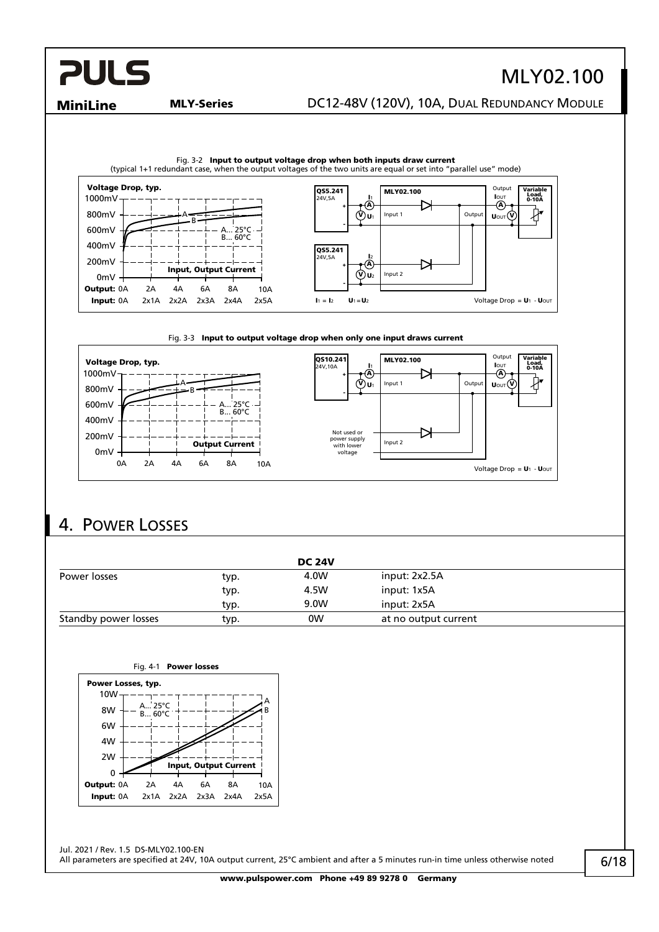# MLY02.100

#### **MiniLine MLY-Series DC12-48V (120V), 10A, DUAL REDUNDANCY MODULE**

<span id="page-5-1"></span>

#### Fig. 3-3 Input to output voltage drop when only one input draws current

<span id="page-5-2"></span>

### <span id="page-5-0"></span>4. POWER LOSSES

|                      |      | <b>DC 24V</b> |                      |  |
|----------------------|------|---------------|----------------------|--|
| Power losses         | typ. | 4.0W          | input: 2x2.5A        |  |
|                      | typ. | 4.5W          | input: 1x5A          |  |
|                      | typ. | 9.0W          | input: 2x5A          |  |
| Standby power losses | typ. | 0W            | at no output current |  |



Jul. 2021 / Rev. 1.5 DS-MLY02.100-EN All parameters are specified at 24V, 10A output current, 25°C ambient and after a 5 minutes run-in time unless otherwise noted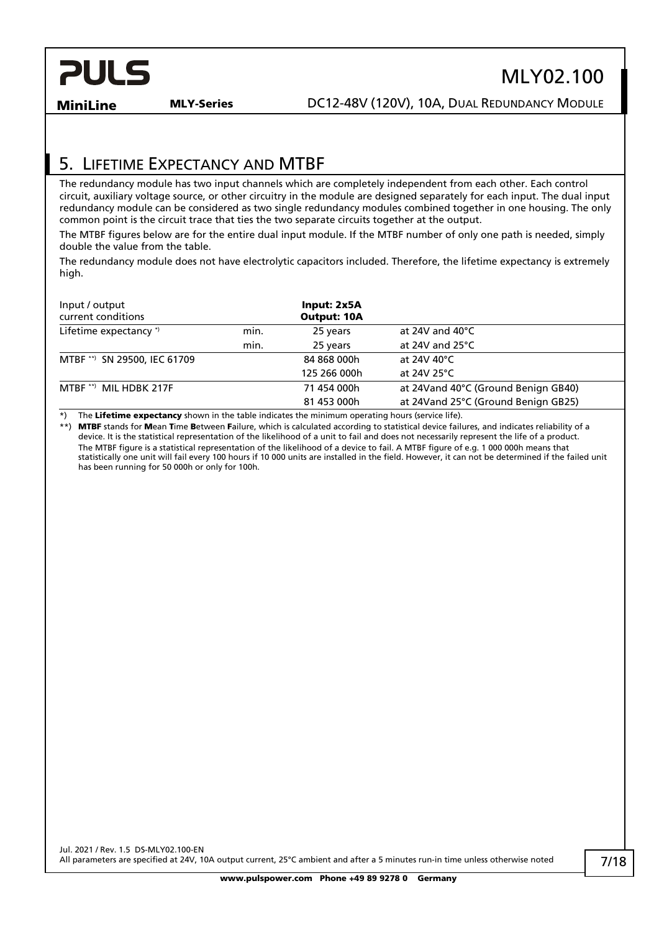

# MLY02.100

**MiniLine MLY-Series DC12-48V (120V), 10A, DUAL REDUNDANCY MODULE** 

## <span id="page-6-0"></span>5. LIFETIME EXPECTANCY AND MTBF

The redundancy module has two input channels which are completely independent from each other. Each control circuit, auxiliary voltage source, or other circuitry in the module are designed separately for each input. The dual input redundancy module can be considered as two single redundancy modules combined together in one housing. The only common point is the circuit trace that ties the two separate circuits together at the output.

The MTBF figures below are for the entire dual input module. If the MTBF number of only one path is needed, simply double the value from the table.

The redundancy module does not have electrolytic capacitors included. Therefore, the lifetime expectancy is extremely high.

| Input / output<br>current conditions |      | Input: 2x5A<br><b>Output: 10A</b> |                                     |
|--------------------------------------|------|-----------------------------------|-------------------------------------|
| Lifetime expectancy *)               | min. | 25 years                          | at 24V and 40 $^{\circ}$ C          |
|                                      | min. | 25 years                          | at 24V and $25^{\circ}$ C           |
| SN 29500, IEC 61709<br>$MTBF$ **)    |      | 84 868 000h                       | at 24V 40°C                         |
|                                      |      | 125 266 000h                      | at 24V 25°C                         |
| MTBF **) MIL HDBK 217F               |      | 71 454 000h                       | at 24Vand 40°C (Ground Benign GB40) |
|                                      |      | 81 453 000h                       | at 24Vand 25°C (Ground Benign GB25) |

\*) The Lifetime expectancy shown in the table indicates the minimum operating hours (service life).

\*\*) MTBF stands for Mean Time Between Failure, which is calculated according to statistical device failures, and indicates reliability of a device. It is the statistical representation of the likelihood of a unit to fail and does not necessarily represent the life of a product. The MTBF figure is a statistical representation of the likelihood of a device to fail. A MTBF figure of e.g. 1 000 000h means that statistically one unit will fail every 100 hours if 10 000 units are installed in the field. However, it can not be determined if the failed unit has been running for 50 000h or only for 100h.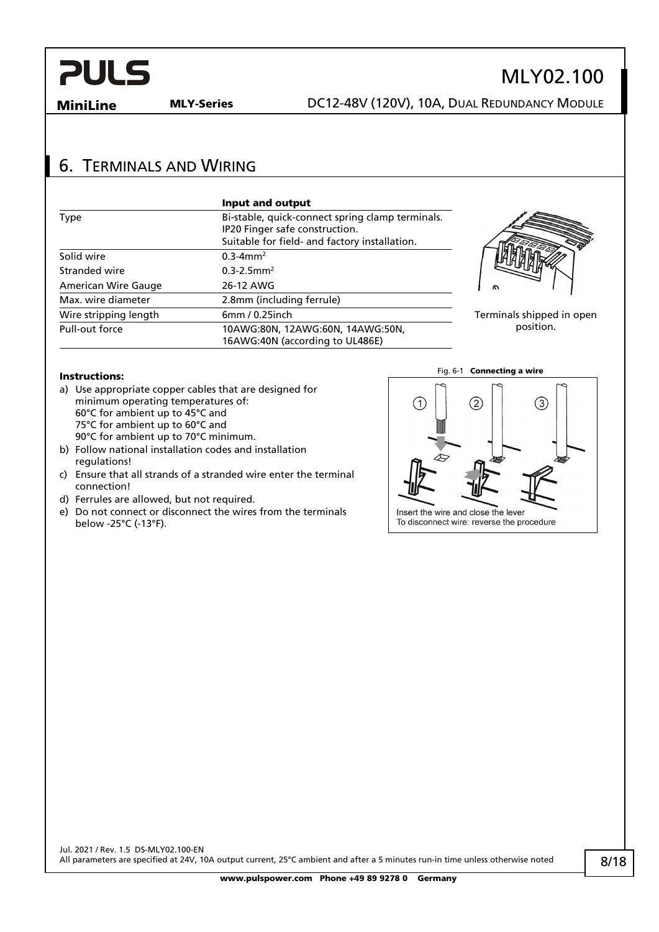### <span id="page-7-0"></span>6. TERMINALS AND WIRING

|                       | Input and output                                                                   |           |
|-----------------------|------------------------------------------------------------------------------------|-----------|
| Type                  | Bi-stable, quick-connect spring clamp terminals.<br>IP20 Finger safe construction. |           |
|                       | Suitable for field- and factory installation.                                      |           |
| Solid wire            | $0.3 - 4$ mm <sup>2</sup>                                                          |           |
| Stranded wire         | $0.3 - 2.5$ mm <sup>2</sup>                                                        |           |
| American Wire Gauge   | 26-12 AWG                                                                          | ົ         |
| Max. wire diameter    | 2.8mm (including ferrule)                                                          |           |
| Wire stripping length | 6mm / 0.25inch                                                                     | Terminals |
| Pull-out force        | 10AWG:80N, 12AWG:60N, 14AWG:50N,<br>16AWG:40N (according to UL486E)                |           |



MLY02.100

s shipped in open position.

#### Instructions:

- a) Use appropriate copper cables that are designed for minimum operating temperatures of: 60°C for ambient up to 45°C and 75°C for ambient up to 60°C and 90°C for ambient up to 70°C minimum.
- b) Follow national installation codes and installation regulations!
- c) Ensure that all strands of a stranded wire enter the terminal connection!
- d) Ferrules are allowed, but not required.
- e) Do not connect or disconnect the wires from the terminals below -25°C (-13°F).

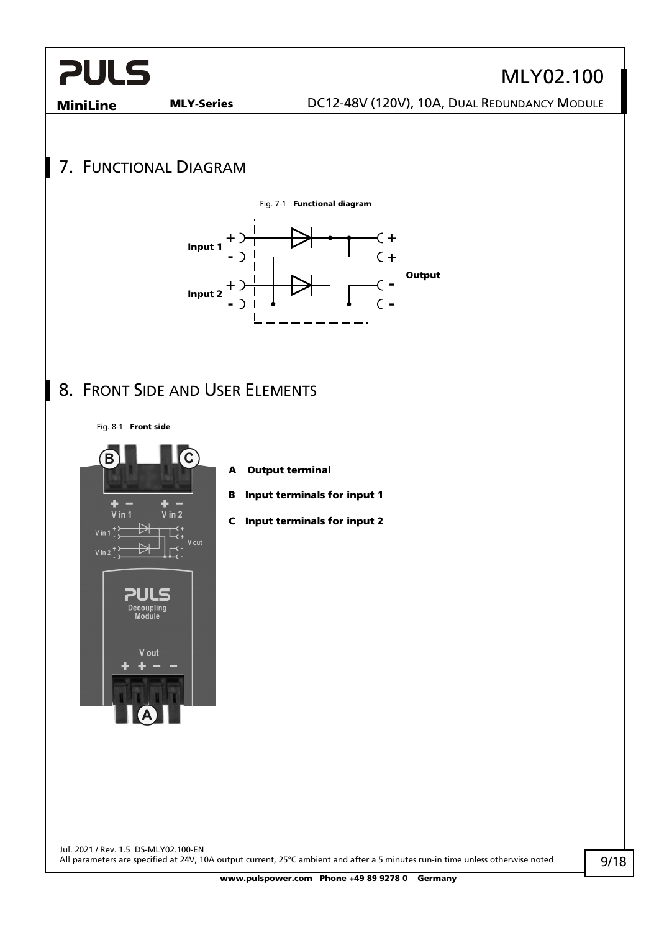# MLY02.100

**MiniLine MLY-Series** DC12-48V (120V), 10A, DUAL REDUNDANCY MODULE

## <span id="page-8-0"></span>7. FUNCTIONAL DIAGRAM



### <span id="page-8-1"></span>8. FRONT SIDE AND USER ELEMENTS

Fig. 8-1 Front side



- A Output terminal
- **B** Input terminals for input 1
- C Input terminals for input 2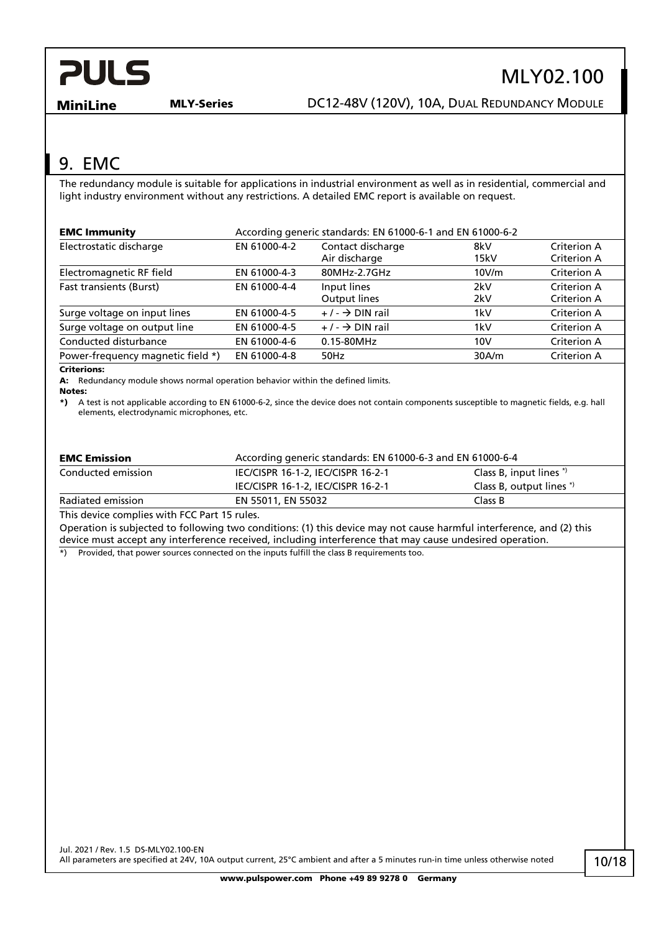# MLY02.100

**MiniLine MLY-Series DC12-48V (120V), 10A, DUAL REDUNDANCY MODULE** 

## <span id="page-9-0"></span>9. EMC

The redundancy module is suitable for applications in industrial environment as well as in residential, commercial and light industry environment without any restrictions. A detailed EMC report is available on request.

| <b>EMC Immunity</b>                        | According generic standards: EN 61000-6-1 and EN 61000-6-2 |                                    |             |                            |
|--------------------------------------------|------------------------------------------------------------|------------------------------------|-------------|----------------------------|
| Electrostatic discharge                    | EN 61000-4-2                                               | Contact discharge<br>Air discharge | 8kV<br>15kV | Criterion A<br>Criterion A |
| Electromagnetic RF field                   | EN 61000-4-3                                               | 80MHz-2.7GHz                       | 10V/m       | Criterion A                |
| <b>Fast transients (Burst)</b>             | EN 61000-4-4                                               | Input lines<br>Output lines        | 2kV<br>2kV  | Criterion A<br>Criterion A |
| Surge voltage on input lines               | EN 61000-4-5                                               | $+/ \rightarrow$ DIN rail          | 1kV         | Criterion A                |
| Surge voltage on output line               | EN 61000-4-5                                               | $+/ \rightarrow$ DIN rail          | 1kV         | Criterion A                |
| Conducted disturbance                      | EN 61000-4-6                                               | $0.15 - 80$ MHz                    | 10V         | Criterion A                |
| Power-frequency magnetic field *)<br>- - - | EN 61000-4-8                                               | 50Hz                               | 30A/m       | Criterion A                |

#### Criterions:

A: Redundancy module shows normal operation behavior within the defined limits.

Notes:

\*) A test is not applicable according to EN 61000-6-2, since the device does not contain components susceptible to magnetic fields, e.g. hall elements, electrodynamic microphones, etc.

| <b>EMC Emission</b> | According generic standards: EN 61000-6-3 and EN 61000-6-4 |                               |  |
|---------------------|------------------------------------------------------------|-------------------------------|--|
| Conducted emission  | IEC/CISPR 16-1-2, IEC/CISPR 16-2-1                         | Class B, input lines $\gamma$ |  |
|                     | IEC/CISPR 16-1-2, IEC/CISPR 16-2-1                         | Class B, output lines *)      |  |
| Radiated emission   | EN 55011, EN 55032                                         | Class B                       |  |

This device complies with FCC Part 15 rules.

Operation is subjected to following two conditions: (1) this device may not cause harmful interference, and (2) this device must accept any interference received, including interference that may cause undesired operation.

 $\dot{\bullet}$ ) Provided, that power sources connected on the inputs fulfill the class B requirements too.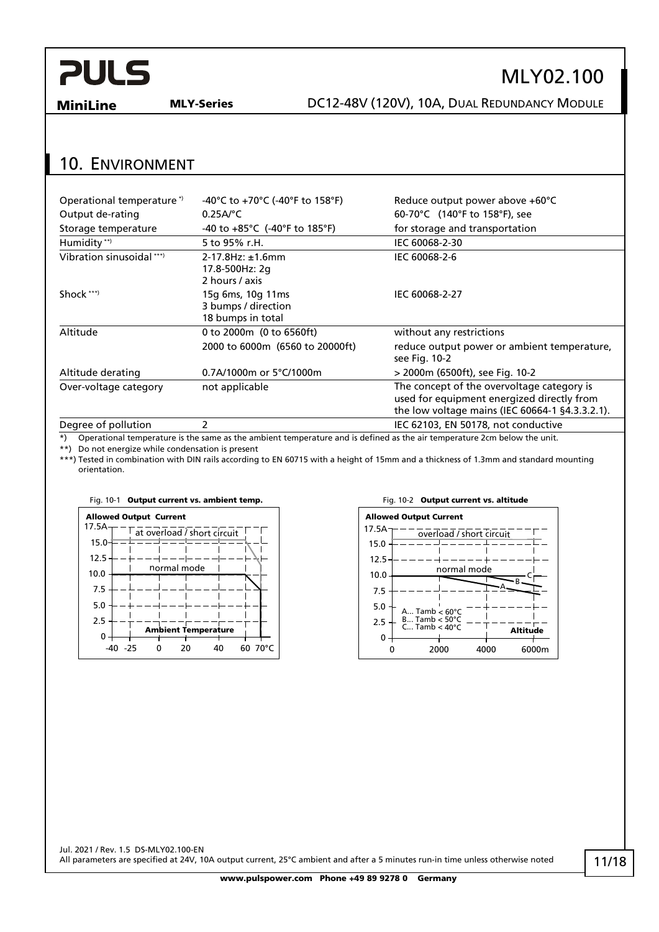## MLY02.100

**MiniLine MLY-Series DC12-48V (120V), 10A, DUAL REDUNDANCY MODULE** 

### <span id="page-10-0"></span>10. ENVIRONMENT

| Operational temperature *) | -40°C to +70°C (-40°F to 158°F)                                 | Reduce output power above +60°C                                                                                                             |
|----------------------------|-----------------------------------------------------------------|---------------------------------------------------------------------------------------------------------------------------------------------|
| Output de-rating           | $0.25A$ <sup>o</sup> C                                          | 60-70°C (140°F to 158°F), see                                                                                                               |
| Storage temperature        | $-40$ to $+85^{\circ}$ C ( $-40^{\circ}$ F to 185 $^{\circ}$ F) | for storage and transportation                                                                                                              |
| Humidity **)               | 5 to 95% r.H.                                                   | IEC 60068-2-30                                                                                                                              |
| Vibration sinusoidal ***)  | $2 - 17.8$ Hz: $\pm 1.6$ mm<br>17.8-500Hz: 2g<br>2 hours / axis | IEC 60068-2-6                                                                                                                               |
| Shock ***)                 | 15g 6ms, 10g 11ms<br>3 bumps / direction<br>18 bumps in total   | IEC 60068-2-27                                                                                                                              |
| Altitude                   | 0 to 2000m (0 to 6560ft)                                        | without any restrictions                                                                                                                    |
|                            | 2000 to 6000m (6560 to 20000ft)                                 | reduce output power or ambient temperature,<br>see Fig. 10-2                                                                                |
| Altitude derating          | 0.7A/1000m or 5°C/1000m                                         | > 2000m (6500ft), see Fig. 10-2                                                                                                             |
| Over-voltage category      | not applicable                                                  | The concept of the overvoltage category is<br>used for equipment energized directly from<br>the low voltage mains (IEC 60664-1 §4.3.3.2.1). |
| Degree of pollution        | 2                                                               | IEC 62103, EN 50178, not conductive                                                                                                         |

\*) Operational temperature is the same as the ambient temperature and is defined as the air temperature 2cm below the unit.

\*\*) Do not energize while condensation is present

\*\*\*) Tested in combination with DIN rails according to EN 60715 with a height of 15mm and a thickness of 1.3mm and standard mounting orientation.



#### Fig. 10-1 Output current vs. ambient temp. Fig. 10-2 Output current vs. altitude

<span id="page-10-1"></span>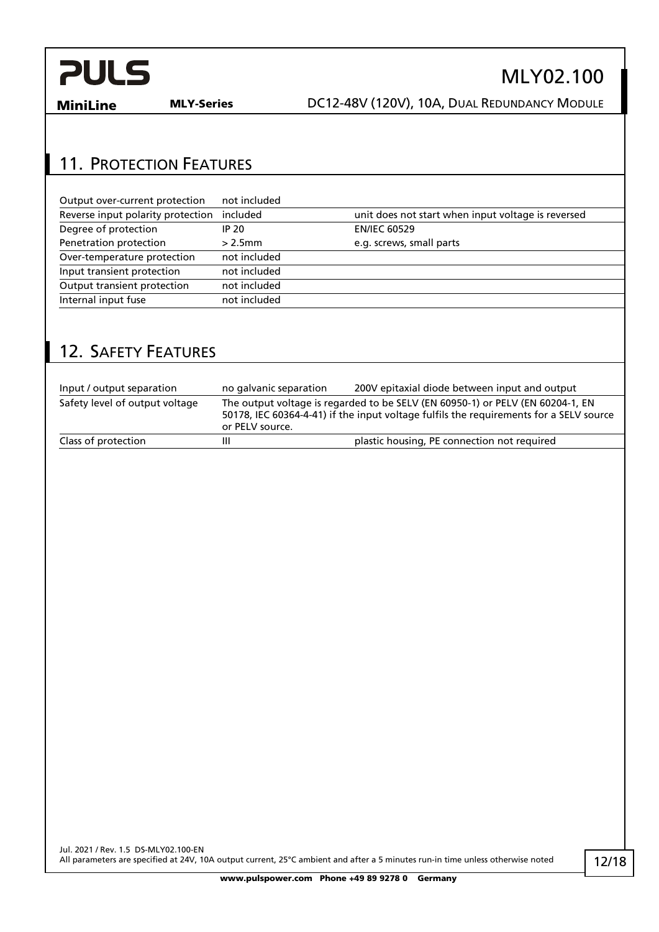

MiniLine MLY-Series DC12-48V (120V), 10A, DUAL REDUNDANCY MODULE

### <span id="page-11-0"></span>11. PROTECTION FEATURES

| Output over-current protection    | not included |                                                    |
|-----------------------------------|--------------|----------------------------------------------------|
| Reverse input polarity protection | included     | unit does not start when input voltage is reversed |
| Degree of protection              | <b>IP 20</b> | <b>EN/IEC 60529</b>                                |
| Penetration protection            | $> 2.5$ mm   | e.g. screws, small parts                           |
| Over-temperature protection       | not included |                                                    |
| Input transient protection        | not included |                                                    |
| Output transient protection       | not included |                                                    |
| Internal input fuse               | not included |                                                    |

### <span id="page-11-1"></span>12. SAFETY FEATURES

| Input / output separation      | no galvanic separation | 200V epitaxial diode between input and output                                                                                                                            |
|--------------------------------|------------------------|--------------------------------------------------------------------------------------------------------------------------------------------------------------------------|
| Safety level of output voltage | or PELV source.        | The output voltage is regarded to be SELV (EN 60950-1) or PELV (EN 60204-1, EN<br>50178, IEC 60364-4-41) if the input voltage fulfils the requirements for a SELV source |
| Class of protection            | Ш                      | plastic housing, PE connection not required                                                                                                                              |

## MLY02.100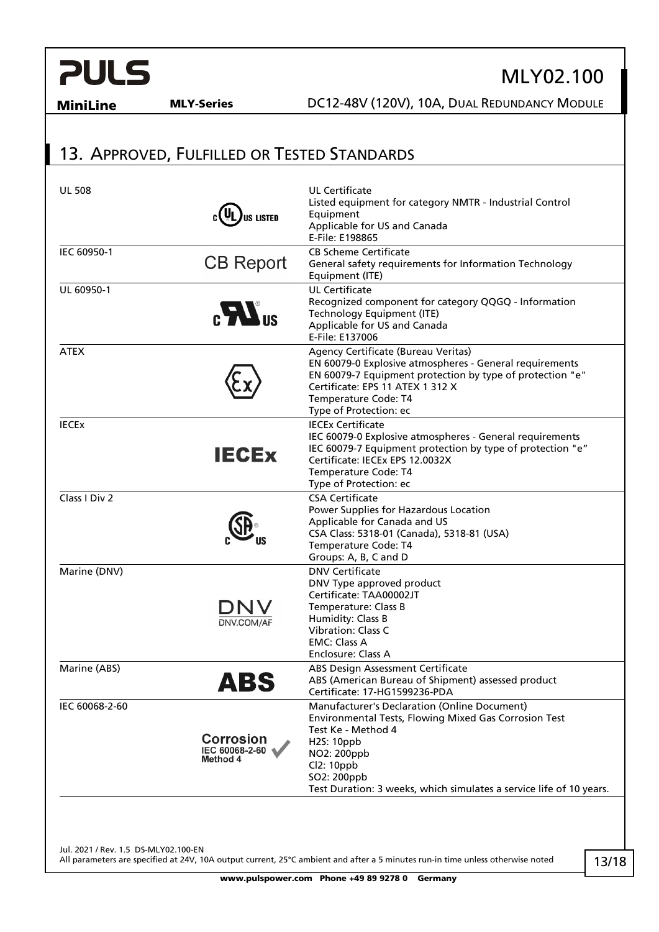## MLY02.100

MiniLine MLY-Series DC12-48V (120V), 10A, DUAL REDUNDANCY MODULE

## <span id="page-12-0"></span>13. APPROVED, FULFILLED OR TESTED STANDARDS

| US LISTED                                      | <b>UL Certificate</b><br>Listed equipment for category NMTR - Industrial Control<br>Equipment<br>Applicable for US and Canada<br>E-File: E198865                                                                                                             |
|------------------------------------------------|--------------------------------------------------------------------------------------------------------------------------------------------------------------------------------------------------------------------------------------------------------------|
| <b>CB Report</b>                               | <b>CB Scheme Certificate</b><br>General safety requirements for Information Technology<br>Equipment (ITE)                                                                                                                                                    |
| $c$ $\sum$ <sup>us</sup>                       | <b>UL Certificate</b><br>Recognized component for category QQGQ - Information<br>Technology Equipment (ITE)<br>Applicable for US and Canada<br>E-File: E137006                                                                                               |
|                                                | Agency Certificate (Bureau Veritas)<br>EN 60079-0 Explosive atmospheres - General requirements<br>EN 60079-7 Equipment protection by type of protection "e"<br>Certificate: EPS 11 ATEX 1 312 X<br>Temperature Code: T4<br>Type of Protection: ec            |
| <b>IECEX</b>                                   | <b>IECEx Certificate</b><br>IEC 60079-0 Explosive atmospheres - General requirements<br>IEC 60079-7 Equipment protection by type of protection "e"<br>Certificate: IECEx EPS 12.0032X<br>Temperature Code: T4<br>Type of Protection: ec                      |
|                                                | <b>CSA Certificate</b><br>Power Supplies for Hazardous Location<br>Applicable for Canada and US<br>CSA Class: 5318-01 (Canada), 5318-81 (USA)<br>Temperature Code: T4<br>Groups: A, B, C and D                                                               |
| ONV<br>DNV.COM/AF                              | <b>DNV Certificate</b><br>DNV Type approved product<br>Certificate: TAA00002JT<br>Temperature: Class B<br>Humidity: Class B<br><b>Vibration: Class C</b><br><b>EMC: Class A</b><br>Enclosure: Class A                                                        |
| AB5                                            | ABS Design Assessment Certificate<br>ABS (American Bureau of Shipment) assessed product<br>Certificate: 17-HG1599236-PDA                                                                                                                                     |
| <b>Corrosion</b><br>IEC 60068-2-60<br>Method 4 | Manufacturer's Declaration (Online Document)<br>Environmental Tests, Flowing Mixed Gas Corrosion Test<br>Test Ke - Method 4<br>H2S: 10ppb<br>NO2: 200ppb<br>Cl2: 10ppb<br>SO2: 200ppb<br>Test Duration: 3 weeks, which simulates a service life of 10 years. |
|                                                |                                                                                                                                                                                                                                                              |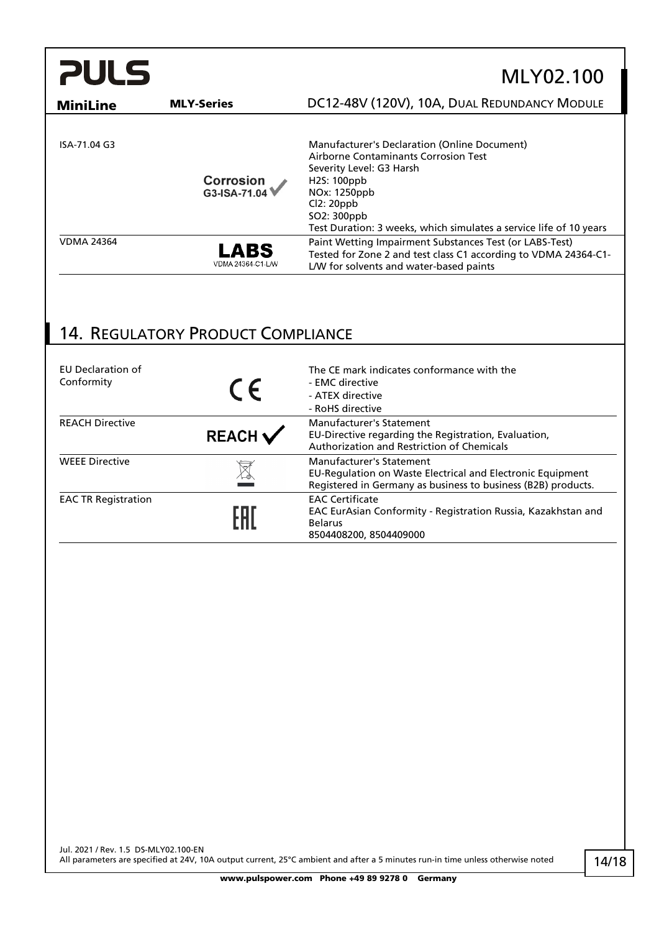| <b>PULS</b>       |                           | MLY02.100                                                                                                                                                                                                                                                      |
|-------------------|---------------------------|----------------------------------------------------------------------------------------------------------------------------------------------------------------------------------------------------------------------------------------------------------------|
| <b>MiniLine</b>   | <b>MLY-Series</b>         | DC12-48V (120V), 10A, DUAL REDUNDANCY MODULE                                                                                                                                                                                                                   |
| ISA-71.04 G3      | Corrosion<br>G3-ISA-71.04 | Manufacturer's Declaration (Online Document)<br>Airborne Contaminants Corrosion Test<br>Severity Level: G3 Harsh<br>H <sub>25</sub> : 100ppb<br>NOx: 1250ppb<br>Cl2:20ppb<br>SO2: 300ppb<br>Test Duration: 3 weeks, which simulates a service life of 10 years |
| <b>VDMA 24364</b> | LABS<br>VDMA 24364-C1-L/W | Paint Wetting Impairment Substances Test (or LABS-Test)<br>Tested for Zone 2 and test class C1 according to VDMA 24364-C1-<br>L/W for solvents and water-based paints                                                                                          |

## <span id="page-13-0"></span>14. REGULATORY PRODUCT COMPLIANCE

| EU Declaration of<br>Conformity | $\epsilon$         | The CE mark indicates conformance with the<br>- EMC directive<br>- ATEX directive<br>- RoHS directive                                                   |
|---------------------------------|--------------------|---------------------------------------------------------------------------------------------------------------------------------------------------------|
| <b>REACH Directive</b>          | $REACH \checkmark$ | Manufacturer's Statement<br>EU-Directive regarding the Registration, Evaluation,<br>Authorization and Restriction of Chemicals                          |
| <b>WEEE Directive</b>           |                    | Manufacturer's Statement<br>EU-Regulation on Waste Electrical and Electronic Equipment<br>Registered in Germany as business to business (B2B) products. |
| <b>EAC TR Registration</b>      |                    | <b>EAC Certificate</b><br>EAC EurAsian Conformity - Registration Russia, Kazakhstan and<br><b>Belarus</b><br>8504408200, 8504409000                     |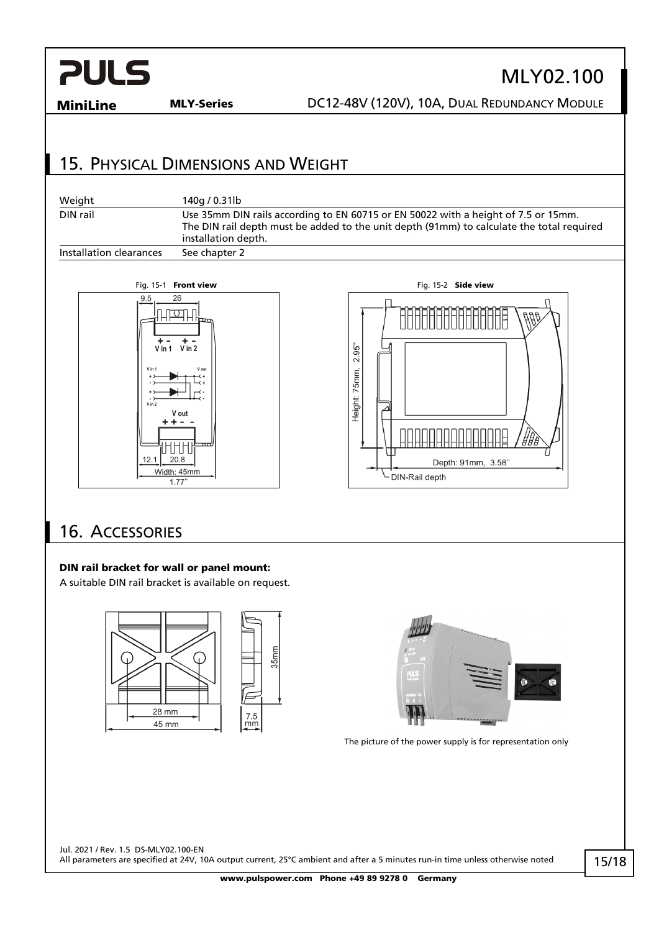# MLY02.100

MiniLine MLY-Series DC12-48V (120V), 10A, DUAL REDUNDANCY MODULE

## <span id="page-14-0"></span>15. PHYSICAL DIMENSIONS AND WEIGHT

| Weight                  | 140a / 0.31lb                                                                                                                                                                                          |
|-------------------------|--------------------------------------------------------------------------------------------------------------------------------------------------------------------------------------------------------|
| DIN rail                | Use 35mm DIN rails according to EN 60715 or EN 50022 with a height of 7.5 or 15mm.<br>The DIN rail depth must be added to the unit depth (91mm) to calculate the total required<br>installation depth. |
| Installation clearances | See chapter 2                                                                                                                                                                                          |





## <span id="page-14-1"></span>16. ACCESSORIES

#### DIN rail bracket for wall or panel mount:

A suitable DIN rail bracket is available on request.





The picture of the power supply is for representation only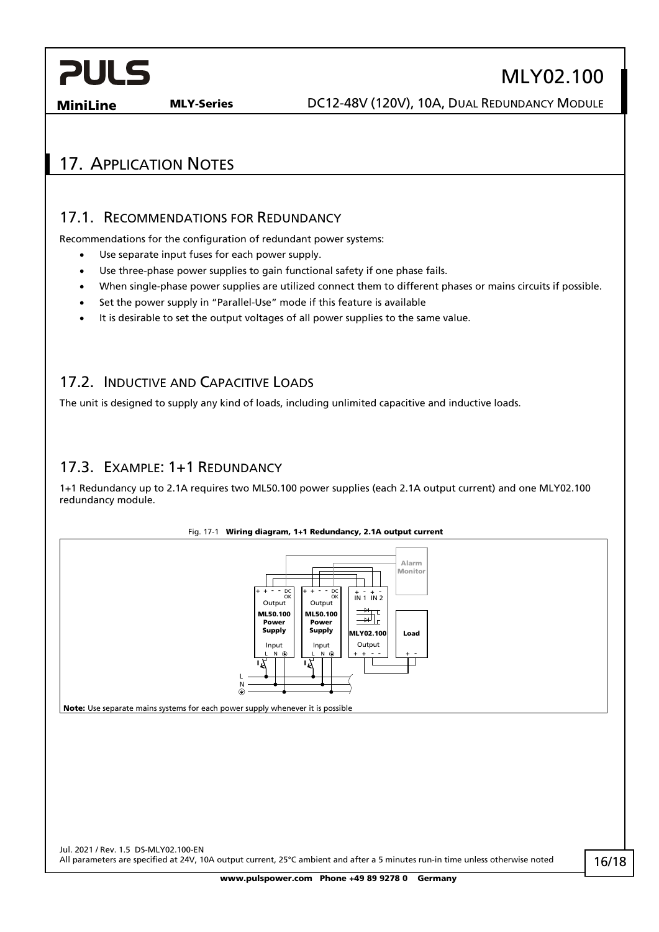**MiniLine MLY-Series DC12-48V (120V), 10A, DUAL REDUNDANCY MODULE** 

MLY02.100

### <span id="page-15-1"></span><span id="page-15-0"></span>17. APPLICATION NOTES

#### 17.1. RECOMMENDATIONS FOR REDUNDANCY

Recommendations for the configuration of redundant power systems:

- Use separate input fuses for each power supply.
- Use three-phase power supplies to gain functional safety if one phase fails.
- When single-phase power supplies are utilized connect them to different phases or mains circuits if possible.
- Set the power supply in "Parallel-Use" mode if this feature is available
- It is desirable to set the output voltages of all power supplies to the same value.

#### <span id="page-15-2"></span>17.2. INDUCTIVE AND CAPACITIVE LOADS

<span id="page-15-3"></span>The unit is designed to supply any kind of loads, including unlimited capacitive and inductive loads.

#### 17.3. EXAMPLE: 1+1 REDUNDANCY

1+1 Redundancy up to 2.1A requires two ML50.100 power supplies (each 2.1A output current) and one MLY02.100 redundancy module.



16/18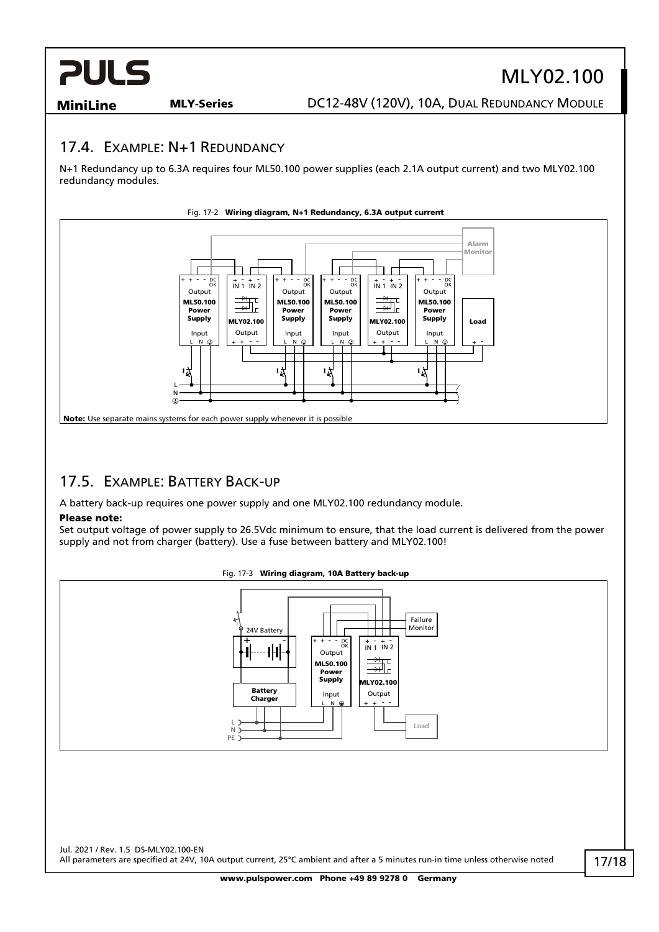# MLY02.100

**MiniLine MLY-Series DC12-48V (120V), 10A, DUAL REDUNDANCY MODULE** 

#### <span id="page-16-0"></span>17.4. EXAMPLE: N+1 REDUNDANCY

N+1 Redundancy up to 6.3A requires four ML50.100 power supplies (each 2.1A output current) and two MLY02.100 redundancy modules.



#### <span id="page-16-1"></span>17.5. EXAMPLE: BATTERY BACK-UP

A battery back-up requires one power supply and one MLY02.100 redundancy module.

#### Please note:

Set output voltage of power supply to 26.5Vdc minimum to ensure, that the load current is delivered from the power supply and not from charger (battery). Use a fuse between battery and MLY02.100!